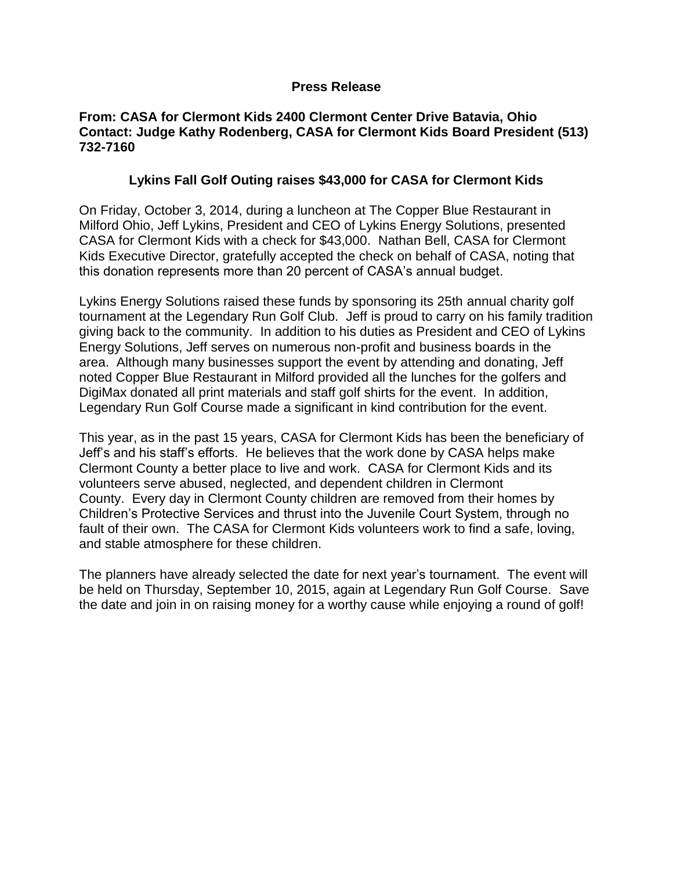## **Press Release**

## **From: CASA for Clermont Kids 2400 Clermont Center Drive Batavia, Ohio Contact: Judge Kathy Rodenberg, CASA for Clermont Kids Board President (513) 732-7160**

## **Lykins Fall Golf Outing raises \$43,000 for CASA for Clermont Kids**

On Friday, October 3, 2014, during a luncheon at The Copper Blue Restaurant in Milford Ohio, Jeff Lykins, President and CEO of Lykins Energy Solutions, presented CASA for Clermont Kids with a check for \$43,000. Nathan Bell, CASA for Clermont Kids Executive Director, gratefully accepted the check on behalf of CASA, noting that this donation represents more than 20 percent of CASA's annual budget.

Lykins Energy Solutions raised these funds by sponsoring its 25th annual charity golf tournament at the Legendary Run Golf Club. Jeff is proud to carry on his family tradition giving back to the community. In addition to his duties as President and CEO of Lykins Energy Solutions, Jeff serves on numerous non-profit and business boards in the area. Although many businesses support the event by attending and donating, Jeff noted Copper Blue Restaurant in Milford provided all the lunches for the golfers and DigiMax donated all print materials and staff golf shirts for the event. In addition, Legendary Run Golf Course made a significant in kind contribution for the event.

This year, as in the past 15 years, CASA for Clermont Kids has been the beneficiary of Jeff's and his staff's efforts. He believes that the work done by CASA helps make Clermont County a better place to live and work. CASA for Clermont Kids and its volunteers serve abused, neglected, and dependent children in Clermont County. Every day in Clermont County children are removed from their homes by Children's Protective Services and thrust into the Juvenile Court System, through no fault of their own. The CASA for Clermont Kids volunteers work to find a safe, loving, and stable atmosphere for these children.

The planners have already selected the date for next year's tournament. The event will be held on Thursday, September 10, 2015, again at Legendary Run Golf Course. Save the date and join in on raising money for a worthy cause while enjoying a round of golf!